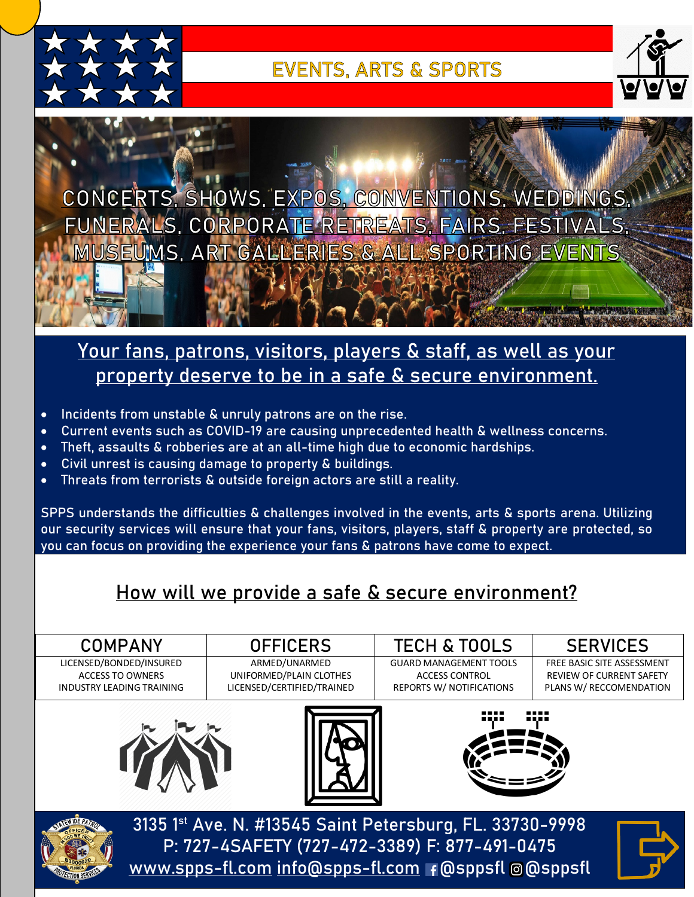

# **EVENTS, ARTS & SPORTS**





### Your fans, patrons, visitors, players & staff, as well as your property deserve to be in a safe & secure environment.

- Incidents from unstable & unruly patrons are on the rise.
- Current events such as COVID-19 are causing unprecedented health & wellness concerns.
- Theft, assaults & robberies are at an all-time high due to economic hardships.
- Civil unrest is causing damage to property & buildings.
- Threats from terrorists & outside foreign actors are still a reality.

SPPS understands the difficulties & challenges involved in the events, arts & sports arena. Utilizing our security services will ensure that your fans, visitors, players, staff & property are protected, so you can focus on providing the experience your fans & patrons have come to expect.

## How will we provide a safe & secure environment?

LICENSED/BONDED/INSURED ACCESS TO OWNERS INDUSTRY LEADING TRAINING

ARMED/UNARMED UNIFORMED/PLAIN CLOTHES LICENSED/CERTIFIED/TRAINED

COMPANY | OFFICERS | TECH & TOOLS | SERVICES GUARD MANAGEMENT TOOLS ACCESS CONTROL REPORTS W/ NOTIFICATIONS

FREE BASIC SITE ASSESSMENT REVIEW OF CURRENT SAFETY PLANS W/ RECCOMENDATION









3135 1st Ave. N. #13545 Saint Petersburg, FL. 33730-9998 P: 727-4SAFETY (727-472-3389) F: 877-491-0475 [www.spps-fl.com](http://www.spps-fl.com/) [info@spps-fl.com](mailto:info@spps-fl.com) +@sppsfl @@sppsfl